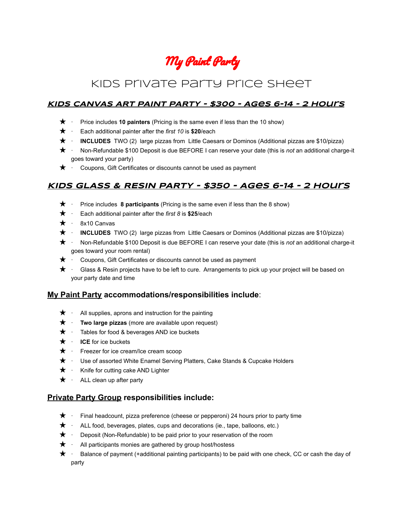# My Paint Party

# Kids Private Party Price Sheet

#### **KIDS CANVAS ART PAINT PARTY - \$300 - Ages 6-14 - 2 Hours**

- ★ · Price includes **10 painters** (Pricing is the same even if less than the 10 show)
- ★ · Each additional painter after the *first 10* is **\$20**/each
- ★ · **INCLUDES** TWO (2) large pizzas from Little Caesars or Dominos (Additional pizzas are \$10/pizza)
- ★ · Non-Refundable \$100 Deposit is due BEFORE I can reserve your date (this is *not* an additional charge-it goes toward your party)
- $\star \cdot$  Coupons, Gift Certificates or discounts cannot be used as payment

## **KIDS GLASS & RESIN PARTY - \$350 - Ages 6-14 - 2 hours**

- ★ · Price includes **8 participants** (Pricing is the same even if less than the 8 show)
- ★ · Each additional painter after the *first 8* is **\$25**/each
- $\star \cdot$  8x10 Canvas
- ★ · **INCLUDES** TWO (2) large pizzas from Little Caesars or Dominos (Additional pizzas are \$10/pizza)
- ★ · Non-Refundable \$100 Deposit is due BEFORE I can reserve your date (this is *not* an additional charge-it goes toward your room rental)
- $\star$  · Coupons, Gift Certificates or discounts cannot be used as payment
- $\star$  · Glass & Resin projects have to be left to cure. Arrangements to pick up your project will be based on your party date and time

#### **My Paint Party accommodations/responsibilities include**:

- $\star$  · All supplies, aprons and instruction for the painting
- ★ · **Two large pizzas** (more are available upon request)
- ★ · Tables for food & beverages AND ice buckets
- ★ · **ICE** for ice buckets
- $\bigstar$  · Freezer for ice cream/Ice cream scoop
- ★ · Use of assorted White Enamel Serving Platters, Cake Stands & Cupcake Holders
- $\star \cdot$  Knife for cutting cake AND Lighter
- $\star$  · ALL clean up after party

#### **Private Party Group responsibilities include:**

- $\bigstar$  · Final headcount, pizza preference (cheese or pepperoni) 24 hours prior to party time
- $\star \cdot$  ALL food, beverages, plates, cups and decorations (ie., tape, balloons, etc.)
- $\bigstar$  · Deposit (Non-Refundable) to be paid prior to your reservation of the room
- $\star$  · All participants monies are gathered by group host/hostess
- ★ · Balance of payment (+additional painting participants) to be paid with one check, CC or cash the day of party